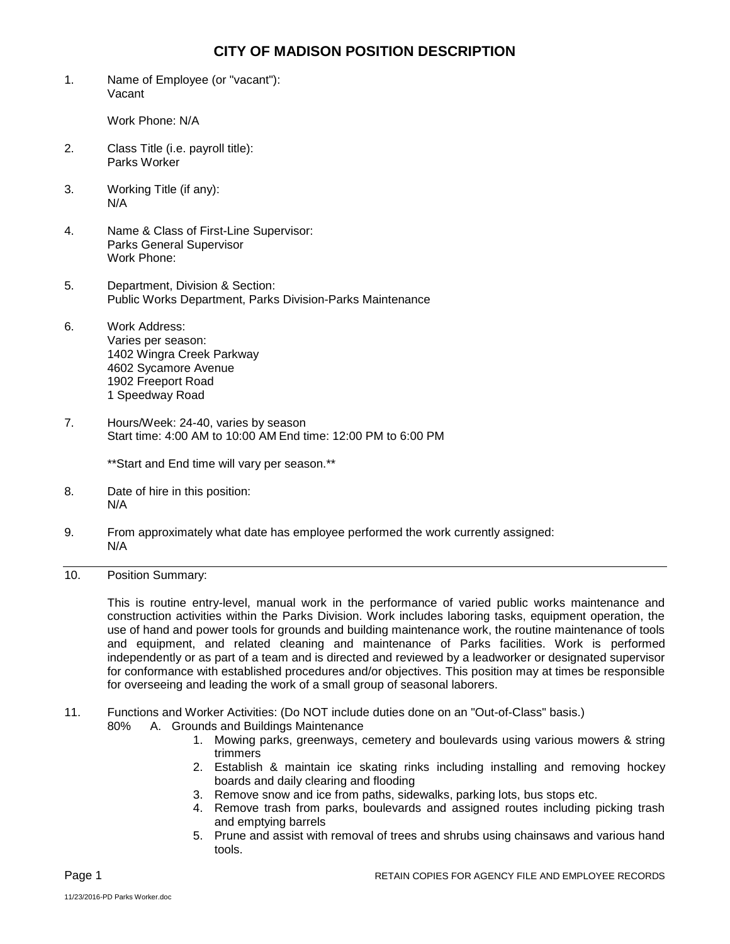## **CITY OF MADISON POSITION DESCRIPTION**

1. Name of Employee (or "vacant"): Vacant

Work Phone: N/A

- 2. Class Title (i.e. payroll title): Parks Worker
- 3. Working Title (if any): N/A
- 4. Name & Class of First-Line Supervisor: Parks General Supervisor Work Phone:
- 5. Department, Division & Section: Public Works Department, Parks Division-Parks Maintenance
- 6. Work Address: Varies per season: 1402 Wingra Creek Parkway 4602 Sycamore Avenue 1902 Freeport Road 1 Speedway Road
- 7. Hours/Week: 24-40, varies by season Start time: 4:00 AM to 10:00 AM End time: 12:00 PM to 6:00 PM

\*\*Start and End time will vary per season.\*\*

- 8. Date of hire in this position: N/A
- 9. From approximately what date has employee performed the work currently assigned: N/A
- 10. Position Summary:

This is routine entry-level, manual work in the performance of varied public works maintenance and construction activities within the Parks Division. Work includes laboring tasks, equipment operation, the use of hand and power tools for grounds and building maintenance work, the routine maintenance of tools and equipment, and related cleaning and maintenance of Parks facilities. Work is performed independently or as part of a team and is directed and reviewed by a leadworker or designated supervisor for conformance with established procedures and/or objectives. This position may at times be responsible for overseeing and leading the work of a small group of seasonal laborers.

- 11. Functions and Worker Activities: (Do NOT include duties done on an "Out-of-Class" basis.) 80% A. Grounds and Buildings Maintenance
	- 1. Mowing parks, greenways, cemetery and boulevards using various mowers & string trimmers
	- 2. Establish & maintain ice skating rinks including installing and removing hockey boards and daily clearing and flooding
	- 3. Remove snow and ice from paths, sidewalks, parking lots, bus stops etc.
	- 4. Remove trash from parks, boulevards and assigned routes including picking trash and emptying barrels
	- 5. Prune and assist with removal of trees and shrubs using chainsaws and various hand tools.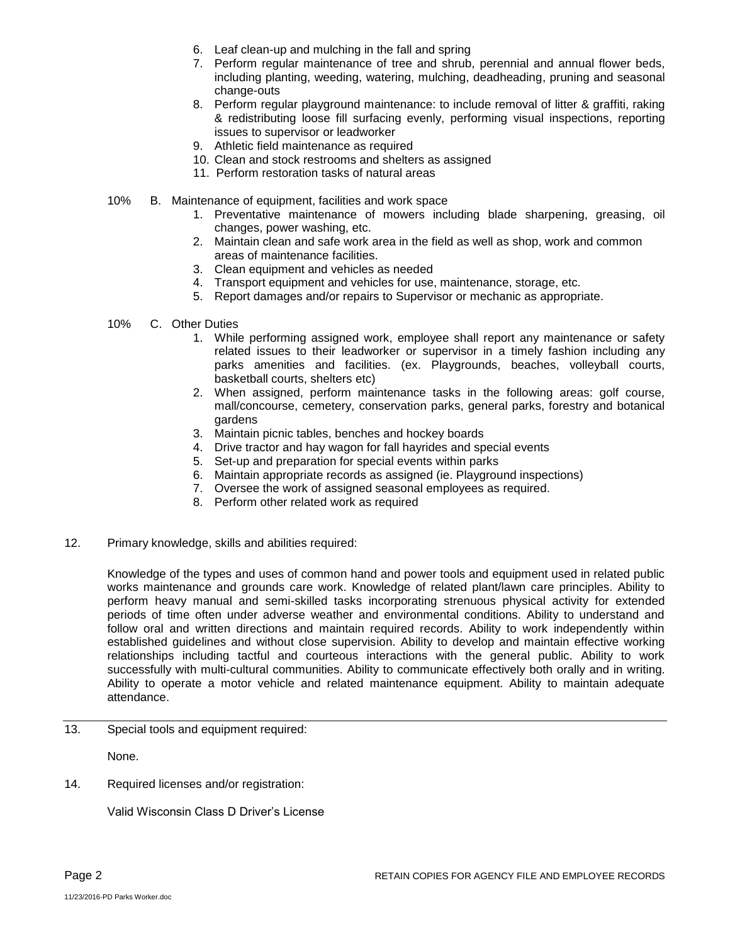- 6. Leaf clean-up and mulching in the fall and spring
- 7. Perform regular maintenance of tree and shrub, perennial and annual flower beds, including planting, weeding, watering, mulching, deadheading, pruning and seasonal change-outs
- 8. Perform regular playground maintenance: to include removal of litter & graffiti, raking & redistributing loose fill surfacing evenly, performing visual inspections, reporting issues to supervisor or leadworker
- 9. Athletic field maintenance as required
- 10. Clean and stock restrooms and shelters as assigned
- 11. Perform restoration tasks of natural areas
- 10% B. Maintenance of equipment, facilities and work space
	- 1. Preventative maintenance of mowers including blade sharpening, greasing, oil changes, power washing, etc.
	- 2. Maintain clean and safe work area in the field as well as shop, work and common areas of maintenance facilities.
	- 3. Clean equipment and vehicles as needed
	- 4. Transport equipment and vehicles for use, maintenance, storage, etc.
	- 5. Report damages and/or repairs to Supervisor or mechanic as appropriate.
- 10% C. Other Duties
	- 1. While performing assigned work, employee shall report any maintenance or safety related issues to their leadworker or supervisor in a timely fashion including any parks amenities and facilities. (ex. Playgrounds, beaches, volleyball courts, basketball courts, shelters etc)
	- 2. When assigned, perform maintenance tasks in the following areas: golf course, mall/concourse, cemetery, conservation parks, general parks, forestry and botanical gardens
	- 3. Maintain picnic tables, benches and hockey boards
	- 4. Drive tractor and hay wagon for fall hayrides and special events
	- 5. Set-up and preparation for special events within parks
	- 6. Maintain appropriate records as assigned (ie. Playground inspections)
	- 7. Oversee the work of assigned seasonal employees as required.
	- 8. Perform other related work as required
- 12. Primary knowledge, skills and abilities required:

Knowledge of the types and uses of common hand and power tools and equipment used in related public works maintenance and grounds care work. Knowledge of related plant/lawn care principles. Ability to perform heavy manual and semi-skilled tasks incorporating strenuous physical activity for extended periods of time often under adverse weather and environmental conditions. Ability to understand and follow oral and written directions and maintain required records. Ability to work independently within established guidelines and without close supervision. Ability to develop and maintain effective working relationships including tactful and courteous interactions with the general public. Ability to work successfully with multi-cultural communities. Ability to communicate effectively both orally and in writing. Ability to operate a motor vehicle and related maintenance equipment. Ability to maintain adequate attendance.

13. Special tools and equipment required:

None.

14. Required licenses and/or registration:

Valid Wisconsin Class D Driver's License